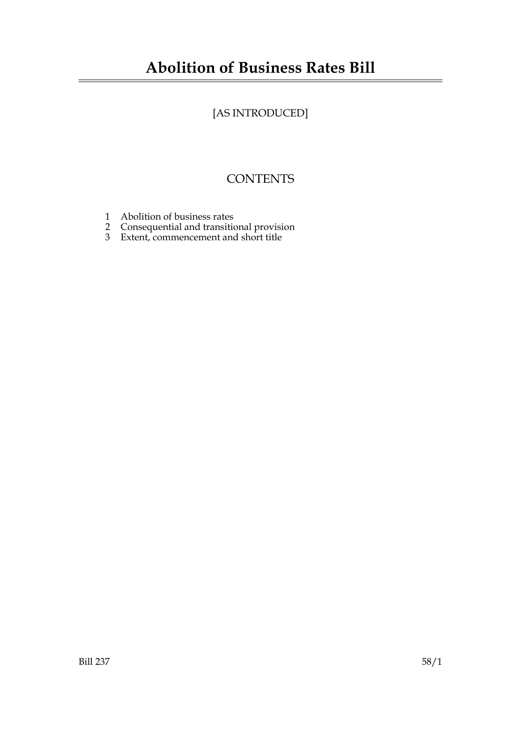# **Abolition of Business Rates Bill**

# [AS INTRODUCED]

# **CONTENTS**

- 1 Abolition of business rates
- 2 Consequential and transitional provision
- 3 Extent, commencement and short title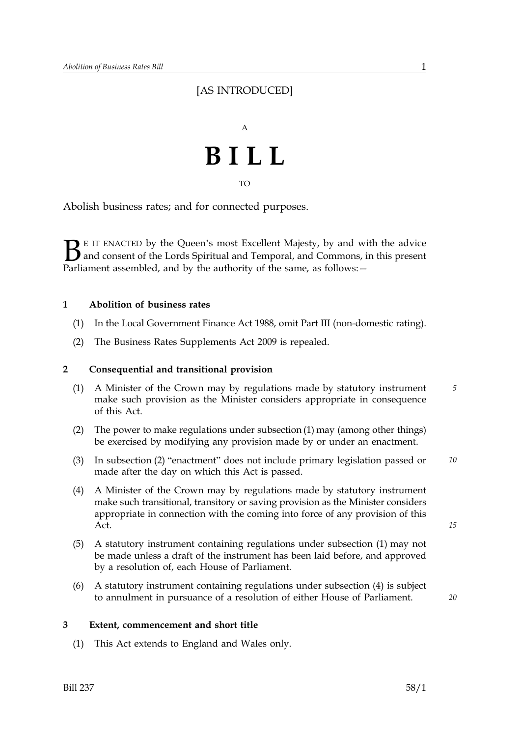## [AS INTRODUCED]



TO

Abolish business rates; and for connected purposes.

 $\sum$  E IT ENACTED by the Queen's most Excellent Majesty, by and with the advice<br>and consent of the Lords Spiritual and Temporal, and Commons, in this present<br>Parliament assembled, and by the authority of the same, as foll and consent of the Lords Spiritual and Temporal, and Commons, in this present Parliament assembled, and by the authority of the same, as follows: -

#### **1 Abolition of business rates**

- (1) In the Local Government Finance Act 1988, omit Part III (non-domestic rating).
- (2) The Business Rates Supplements Act 2009 is repealed.

#### **2 Consequential and transitional provision**

- (1) A Minister of the Crown may by regulations made by statutory instrument *5*  make such provision as the Minister considers appropriate in consequence of this Act.
- (2) The power to make regulations under subsection (1) may (among other things) be exercised by modifying any provision made by or under an enactment.
- (3) In subsection (2) "enactment" does not include primary legislation passed or *10*  made after the day on which this Act is passed.
- (4) A Minister of the Crown may by regulations made by statutory instrument make such transitional, transitory or saving provision as the Minister considers appropriate in connection with the coming into force of any provision of this Act.
- (5) A statutory instrument containing regulations under subsection (1) may not be made unless a draft of the instrument has been laid before, and approved by a resolution of, each House of Parliament.
- (6) A statutory instrument containing regulations under subsection (4) is subject to annulment in pursuance of a resolution of either House of Parliament.

*20* 

*15* 

#### **3 Extent, commencement and short title**

(1) This Act extends to England and Wales only.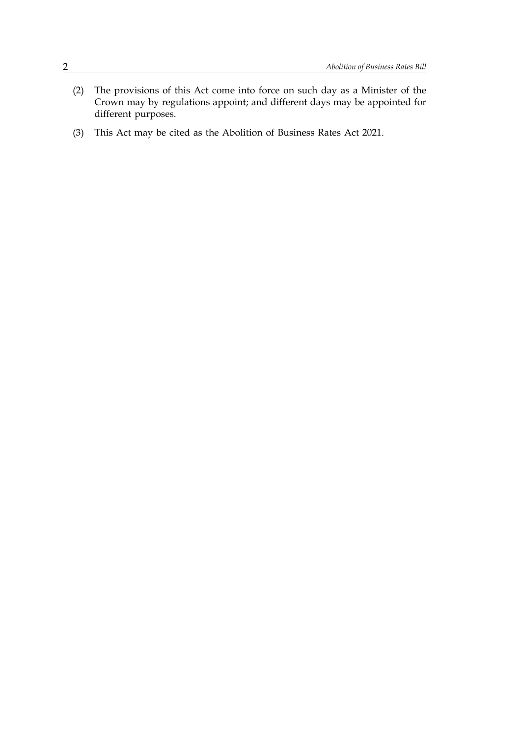- (2) The provisions of this Act come into force on such day as a Minister of the Crown may by regulations appoint; and different days may be appointed for different purposes.
- (3) This Act may be cited as the Abolition of Business Rates Act 2021.